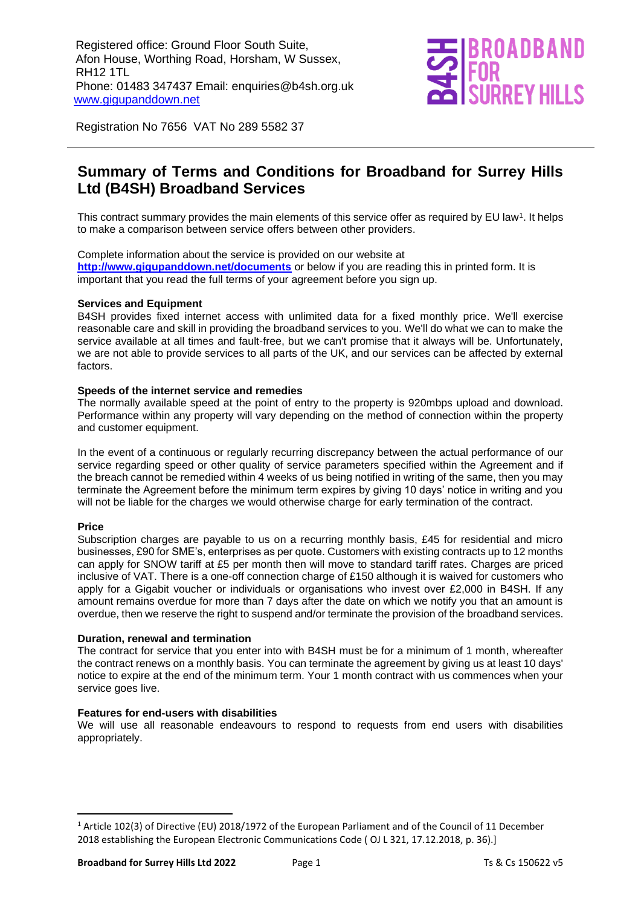

Registration No 7656 VAT No 289 5582 37

### **Summary of Terms and Conditions for Broadband for Surrey Hills Ltd (B4SH) Broadband Services**

This contract summary provides the main elements of this service offer as required by EU law<sup>1</sup>. It helps to make a comparison between service offers between other providers.

Complete information about the service is provided on our website at **<http://www.gigupanddown.net/documents>** or below if you are reading this in printed form. It is important that you read the full terms of your agreement before you sign up.

#### **Services and Equipment**

B4SH provides fixed internet access with unlimited data for a fixed monthly price. We'll exercise reasonable care and skill in providing the broadband services to you. We'll do what we can to make the service available at all times and fault-free, but we can't promise that it always will be. Unfortunately, we are not able to provide services to all parts of the UK, and our services can be affected by external factors.

#### **Speeds of the internet service and remedies**

The normally available speed at the point of entry to the property is 920mbps upload and download. Performance within any property will vary depending on the method of connection within the property and customer equipment.

In the event of a continuous or regularly recurring discrepancy between the actual performance of our service regarding speed or other quality of service parameters specified within the Agreement and if the breach cannot be remedied within 4 weeks of us being notified in writing of the same, then you may terminate the Agreement before the minimum term expires by giving 10 days' notice in writing and you will not be liable for the charges we would otherwise charge for early termination of the contract.

#### **Price**

Subscription charges are payable to us on a recurring monthly basis, £45 for residential and micro businesses, £90 for SME's, enterprises as per quote. Customers with existing contracts up to 12 months can apply for SNOW tariff at £5 per month then will move to standard tariff rates. Charges are priced inclusive of VAT. There is a one-off connection charge of £150 although it is waived for customers who apply for a Gigabit voucher or individuals or organisations who invest over £2,000 in B4SH. If any amount remains overdue for more than 7 days after the date on which we notify you that an amount is overdue, then we reserve the right to suspend and/or terminate the provision of the broadband services.

#### **Duration, renewal and termination**

The contract for service that you enter into with B4SH must be for a minimum of 1 month, whereafter the contract renews on a monthly basis. You can terminate the agreement by giving us at least 10 days' notice to expire at the end of the minimum term. Your 1 month contract with us commences when your service goes live.

#### **Features for end-users with disabilities**

We will use all reasonable endeavours to respond to requests from end users with disabilities appropriately.

<sup>1</sup> Article 102(3) of Directive (EU) 2018/1972 of the European Parliament and of the Council of 11 December 2018 establishing the European Electronic Communications Code ( OJ L 321, 17.12.2018, p. 36).]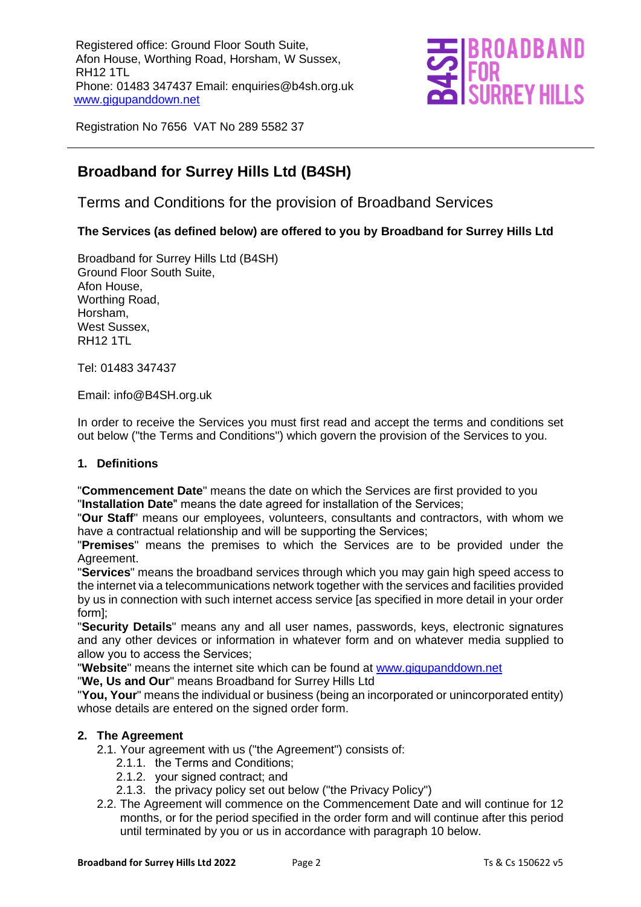

Registration No 7656 VAT No 289 5582 37

### **Broadband for Surrey Hills Ltd (B4SH)**

Terms and Conditions for the provision of Broadband Services

#### **The Services (as defined below) are offered to you by Broadband for Surrey Hills Ltd**

Broadband for Surrey Hills Ltd (B4SH) Ground Floor South Suite, Afon House, Worthing Road, Horsham, West Sussex, RH12 1TL

Tel: 01483 347437

Email: info@B4SH.org.uk

In order to receive the Services you must first read and accept the terms and conditions set out below ("the Terms and Conditions") which govern the provision of the Services to you.

#### **1. Definitions**

"**Commencement Date**" means the date on which the Services are first provided to you "**Installation Date**" means the date agreed for installation of the Services;

"**Our Staff**" means our employees, volunteers, consultants and contractors, with whom we have a contractual relationship and will be supporting the Services;

"**Premises**" means the premises to which the Services are to be provided under the Agreement.

"**Services**" means the broadband services through which you may gain high speed access to the internet via a telecommunications network together with the services and facilities provided by us in connection with such internet access service [as specified in more detail in your order form];

"**Security Details**" means any and all user names, passwords, keys, electronic signatures and any other devices or information in whatever form and on whatever media supplied to allow you to access the Services;

"**Website**" means the internet site which can be found at [www.gigupanddown.net](http://www.gigupanddown.net/)

"**We, Us and Our**" means Broadband for Surrey Hills Ltd

"**You, Your**" means the individual or business (being an incorporated or unincorporated entity) whose details are entered on the signed order form.

#### **2. The Agreement**

2.1. Your agreement with us ("the Agreement") consists of:

- 2.1.1. the Terms and Conditions;
- 2.1.2. your signed contract; and
- 2.1.3. the privacy policy set out below ("the Privacy Policy")
- 2.2. The Agreement will commence on the Commencement Date and will continue for 12 months, or for the period specified in the order form and will continue after this period until terminated by you or us in accordance with paragraph 10 below.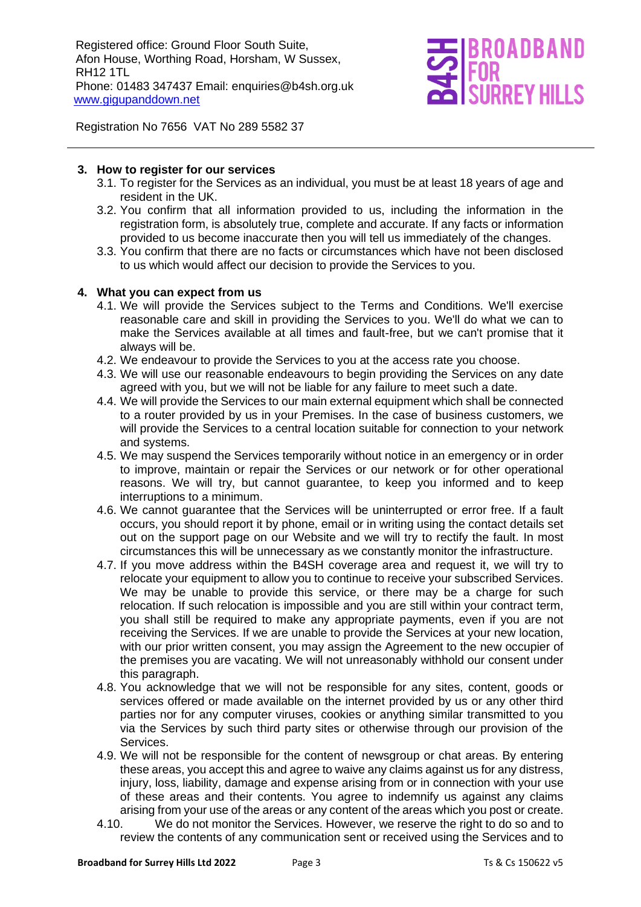

Registration No 7656 VAT No 289 5582 37

#### **3. How to register for our services**

- 3.1. To register for the Services as an individual, you must be at least 18 years of age and resident in the UK.
- 3.2. You confirm that all information provided to us, including the information in the registration form, is absolutely true, complete and accurate. If any facts or information provided to us become inaccurate then you will tell us immediately of the changes.
- 3.3. You confirm that there are no facts or circumstances which have not been disclosed to us which would affect our decision to provide the Services to you.

#### **4. What you can expect from us**

- 4.1. We will provide the Services subject to the Terms and Conditions. We'll exercise reasonable care and skill in providing the Services to you. We'll do what we can to make the Services available at all times and fault-free, but we can't promise that it always will be.
- 4.2. We endeavour to provide the Services to you at the access rate you choose.
- 4.3. We will use our reasonable endeavours to begin providing the Services on any date agreed with you, but we will not be liable for any failure to meet such a date.
- 4.4. We will provide the Services to our main external equipment which shall be connected to a router provided by us in your Premises. In the case of business customers, we will provide the Services to a central location suitable for connection to your network and systems.
- 4.5. We may suspend the Services temporarily without notice in an emergency or in order to improve, maintain or repair the Services or our network or for other operational reasons. We will try, but cannot guarantee, to keep you informed and to keep interruptions to a minimum.
- 4.6. We cannot guarantee that the Services will be uninterrupted or error free. If a fault occurs, you should report it by phone, email or in writing using the contact details set out on the support page on our Website and we will try to rectify the fault. In most circumstances this will be unnecessary as we constantly monitor the infrastructure.
- 4.7. If you move address within the B4SH coverage area and request it, we will try to relocate your equipment to allow you to continue to receive your subscribed Services. We may be unable to provide this service, or there may be a charge for such relocation. If such relocation is impossible and you are still within your contract term, you shall still be required to make any appropriate payments, even if you are not receiving the Services. If we are unable to provide the Services at your new location, with our prior written consent, you may assign the Agreement to the new occupier of the premises you are vacating. We will not unreasonably withhold our consent under this paragraph.
- 4.8. You acknowledge that we will not be responsible for any sites, content, goods or services offered or made available on the internet provided by us or any other third parties nor for any computer viruses, cookies or anything similar transmitted to you via the Services by such third party sites or otherwise through our provision of the Services.
- 4.9. We will not be responsible for the content of newsgroup or chat areas. By entering these areas, you accept this and agree to waive any claims against us for any distress, injury, loss, liability, damage and expense arising from or in connection with your use of these areas and their contents. You agree to indemnify us against any claims arising from your use of the areas or any content of the areas which you post or create.
- 4.10. We do not monitor the Services. However, we reserve the right to do so and to review the contents of any communication sent or received using the Services and to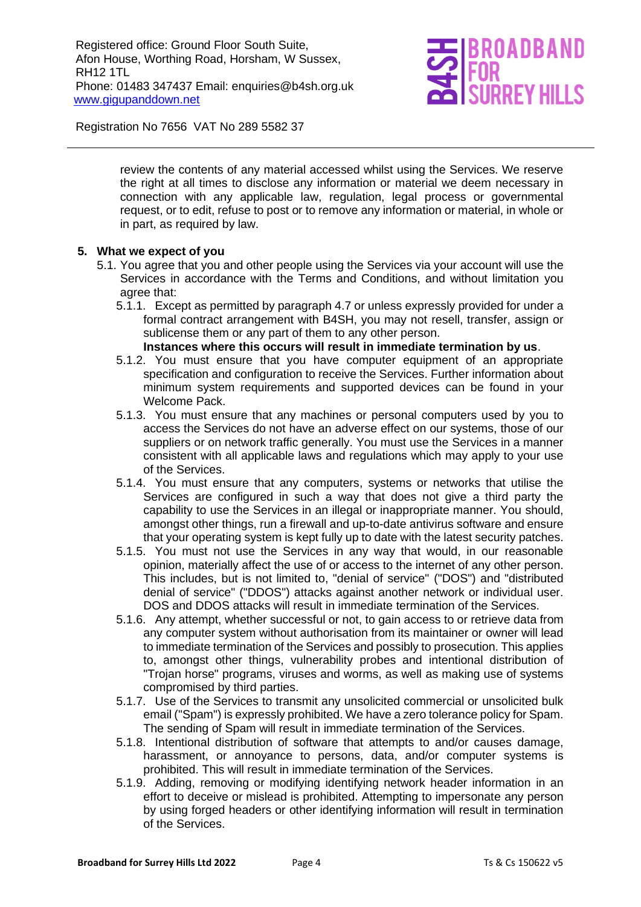

Registration No 7656 VAT No 289 5582 37

review the contents of any material accessed whilst using the Services. We reserve the right at all times to disclose any information or material we deem necessary in connection with any applicable law, regulation, legal process or governmental request, or to edit, refuse to post or to remove any information or material, in whole or in part, as required by law.

#### **5. What we expect of you**

- 5.1. You agree that you and other people using the Services via your account will use the Services in accordance with the Terms and Conditions, and without limitation you agree that:
	- 5.1.1. Except as permitted by paragraph 4.7 or unless expressly provided for under a formal contract arrangement with B4SH, you may not resell, transfer, assign or sublicense them or any part of them to any other person.

#### **Instances where this occurs will result in immediate termination by us**.

- 5.1.2. You must ensure that you have computer equipment of an appropriate specification and configuration to receive the Services. Further information about minimum system requirements and supported devices can be found in your Welcome Pack.
- 5.1.3. You must ensure that any machines or personal computers used by you to access the Services do not have an adverse effect on our systems, those of our suppliers or on network traffic generally. You must use the Services in a manner consistent with all applicable laws and regulations which may apply to your use of the Services.
- 5.1.4. You must ensure that any computers, systems or networks that utilise the Services are configured in such a way that does not give a third party the capability to use the Services in an illegal or inappropriate manner. You should, amongst other things, run a firewall and up-to-date antivirus software and ensure that your operating system is kept fully up to date with the latest security patches.
- 5.1.5. You must not use the Services in any way that would, in our reasonable opinion, materially affect the use of or access to the internet of any other person. This includes, but is not limited to, "denial of service" ("DOS") and "distributed denial of service" ("DDOS") attacks against another network or individual user. DOS and DDOS attacks will result in immediate termination of the Services.
- 5.1.6. Any attempt, whether successful or not, to gain access to or retrieve data from any computer system without authorisation from its maintainer or owner will lead to immediate termination of the Services and possibly to prosecution. This applies to, amongst other things, vulnerability probes and intentional distribution of "Trojan horse" programs, viruses and worms, as well as making use of systems compromised by third parties.
- 5.1.7. Use of the Services to transmit any unsolicited commercial or unsolicited bulk email ("Spam") is expressly prohibited. We have a zero tolerance policy for Spam. The sending of Spam will result in immediate termination of the Services.
- 5.1.8. Intentional distribution of software that attempts to and/or causes damage, harassment, or annoyance to persons, data, and/or computer systems is prohibited. This will result in immediate termination of the Services.
- 5.1.9. Adding, removing or modifying identifying network header information in an effort to deceive or mislead is prohibited. Attempting to impersonate any person by using forged headers or other identifying information will result in termination of the Services.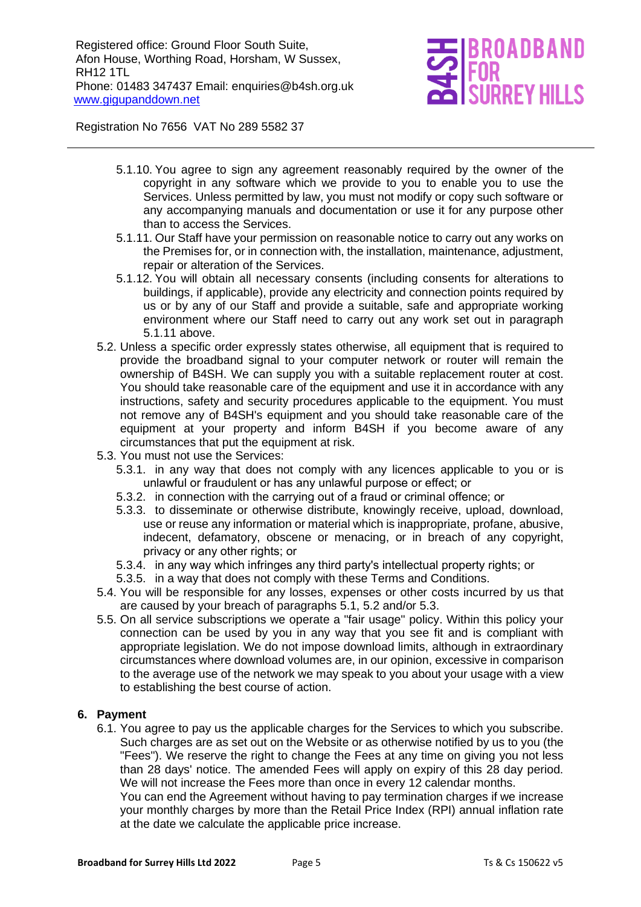## IOADBAND **REY HIL**

Registration No 7656 VAT No 289 5582 37

- 5.1.10. You agree to sign any agreement reasonably required by the owner of the copyright in any software which we provide to you to enable you to use the Services. Unless permitted by law, you must not modify or copy such software or any accompanying manuals and documentation or use it for any purpose other than to access the Services.
- 5.1.11. Our Staff have your permission on reasonable notice to carry out any works on the Premises for, or in connection with, the installation, maintenance, adjustment, repair or alteration of the Services.
- 5.1.12. You will obtain all necessary consents (including consents for alterations to buildings, if applicable), provide any electricity and connection points required by us or by any of our Staff and provide a suitable, safe and appropriate working environment where our Staff need to carry out any work set out in paragraph 5.1.11 above.
- 5.2. Unless a specific order expressly states otherwise, all equipment that is required to provide the broadband signal to your computer network or router will remain the ownership of B4SH. We can supply you with a suitable replacement router at cost. You should take reasonable care of the equipment and use it in accordance with any instructions, safety and security procedures applicable to the equipment. You must not remove any of B4SH's equipment and you should take reasonable care of the equipment at your property and inform B4SH if you become aware of any circumstances that put the equipment at risk.
- 5.3. You must not use the Services:
	- 5.3.1. in any way that does not comply with any licences applicable to you or is unlawful or fraudulent or has any unlawful purpose or effect; or
	- 5.3.2. in connection with the carrying out of a fraud or criminal offence; or
	- 5.3.3. to disseminate or otherwise distribute, knowingly receive, upload, download, use or reuse any information or material which is inappropriate, profane, abusive, indecent, defamatory, obscene or menacing, or in breach of any copyright, privacy or any other rights; or
	- 5.3.4. in any way which infringes any third party's intellectual property rights; or
	- 5.3.5. in a way that does not comply with these Terms and Conditions.
- 5.4. You will be responsible for any losses, expenses or other costs incurred by us that are caused by your breach of paragraphs 5.1, 5.2 and/or 5.3.
- 5.5. On all service subscriptions we operate a "fair usage" policy. Within this policy your connection can be used by you in any way that you see fit and is compliant with appropriate legislation. We do not impose download limits, although in extraordinary circumstances where download volumes are, in our opinion, excessive in comparison to the average use of the network we may speak to you about your usage with a view to establishing the best course of action.

#### **6. Payment**

6.1. You agree to pay us the applicable charges for the Services to which you subscribe. Such charges are as set out on the Website or as otherwise notified by us to you (the "Fees"). We reserve the right to change the Fees at any time on giving you not less than 28 days' notice. The amended Fees will apply on expiry of this 28 day period. We will not increase the Fees more than once in every 12 calendar months.

You can end the Agreement without having to pay termination charges if we increase your monthly charges by more than the Retail Price Index (RPI) annual inflation rate at the date we calculate the applicable price increase.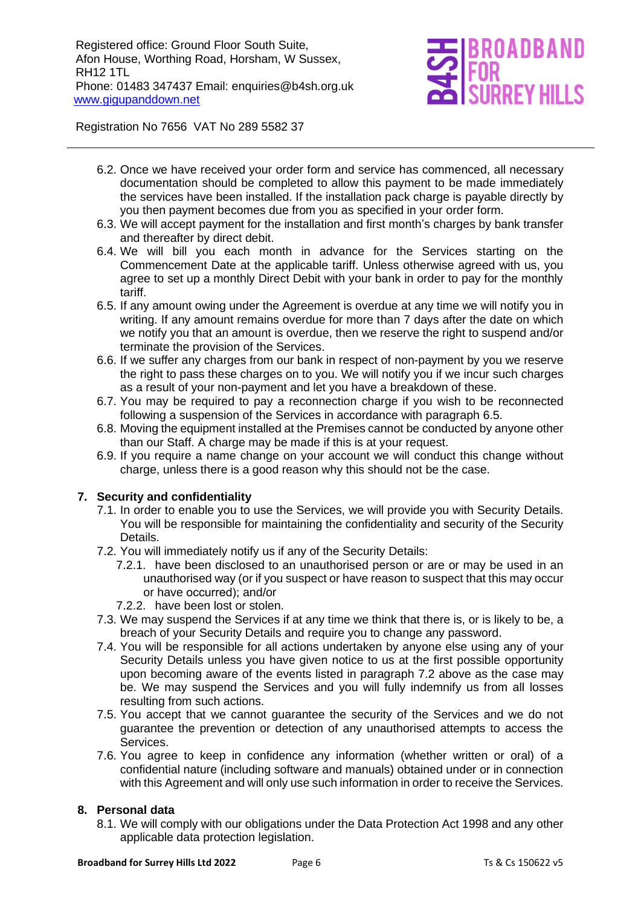## ROADBAND **RREY HIL**

Registration No 7656 VAT No 289 5582 37

- 6.2. Once we have received your order form and service has commenced, all necessary documentation should be completed to allow this payment to be made immediately the services have been installed. If the installation pack charge is payable directly by you then payment becomes due from you as specified in your order form.
- 6.3. We will accept payment for the installation and first month's charges by bank transfer and thereafter by direct debit.
- 6.4. We will bill you each month in advance for the Services starting on the Commencement Date at the applicable tariff. Unless otherwise agreed with us, you agree to set up a monthly Direct Debit with your bank in order to pay for the monthly tariff.
- 6.5. If any amount owing under the Agreement is overdue at any time we will notify you in writing. If any amount remains overdue for more than 7 days after the date on which we notify you that an amount is overdue, then we reserve the right to suspend and/or terminate the provision of the Services.
- 6.6. If we suffer any charges from our bank in respect of non-payment by you we reserve the right to pass these charges on to you. We will notify you if we incur such charges as a result of your non-payment and let you have a breakdown of these.
- 6.7. You may be required to pay a reconnection charge if you wish to be reconnected following a suspension of the Services in accordance with paragraph 6.5.
- 6.8. Moving the equipment installed at the Premises cannot be conducted by anyone other than our Staff. A charge may be made if this is at your request.
- 6.9. If you require a name change on your account we will conduct this change without charge, unless there is a good reason why this should not be the case.

#### **7. Security and confidentiality**

- 7.1. In order to enable you to use the Services, we will provide you with Security Details. You will be responsible for maintaining the confidentiality and security of the Security Details.
- 7.2. You will immediately notify us if any of the Security Details:
	- 7.2.1. have been disclosed to an unauthorised person or are or may be used in an unauthorised way (or if you suspect or have reason to suspect that this may occur or have occurred); and/or
	- 7.2.2. have been lost or stolen.
- 7.3. We may suspend the Services if at any time we think that there is, or is likely to be, a breach of your Security Details and require you to change any password.
- 7.4. You will be responsible for all actions undertaken by anyone else using any of your Security Details unless you have given notice to us at the first possible opportunity upon becoming aware of the events listed in paragraph 7.2 above as the case may be. We may suspend the Services and you will fully indemnify us from all losses resulting from such actions.
- 7.5. You accept that we cannot guarantee the security of the Services and we do not guarantee the prevention or detection of any unauthorised attempts to access the Services.
- 7.6. You agree to keep in confidence any information (whether written or oral) of a confidential nature (including software and manuals) obtained under or in connection with this Agreement and will only use such information in order to receive the Services.

#### **8. Personal data**

8.1. We will comply with our obligations under the Data Protection Act 1998 and any other applicable data protection legislation.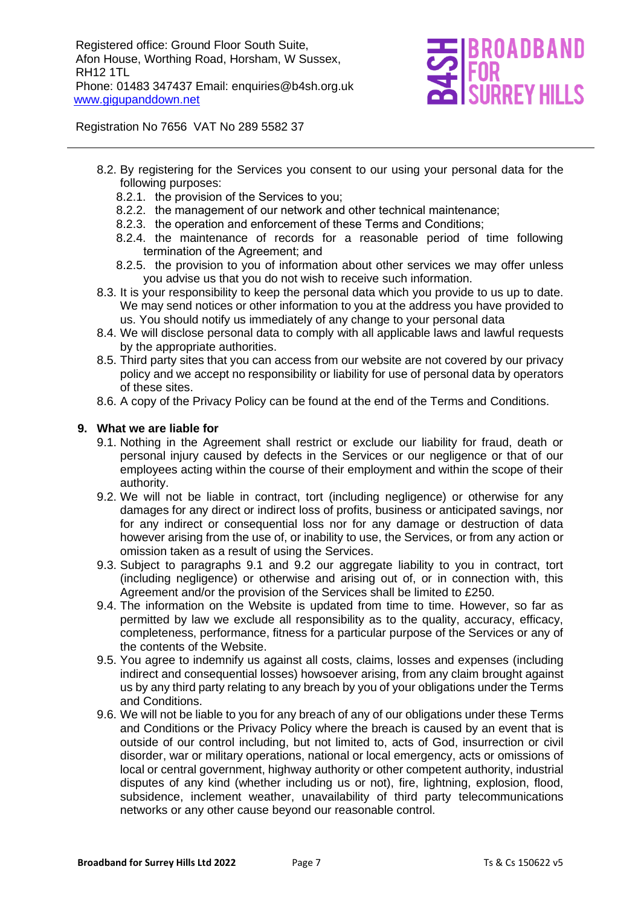

Registration No 7656 VAT No 289 5582 37

- 8.2. By registering for the Services you consent to our using your personal data for the following purposes:
	- 8.2.1. the provision of the Services to you;
	- 8.2.2. the management of our network and other technical maintenance;
	- 8.2.3. the operation and enforcement of these Terms and Conditions;
	- 8.2.4. the maintenance of records for a reasonable period of time following termination of the Agreement; and
	- 8.2.5. the provision to you of information about other services we may offer unless you advise us that you do not wish to receive such information.
- 8.3. It is your responsibility to keep the personal data which you provide to us up to date. We may send notices or other information to you at the address you have provided to us. You should notify us immediately of any change to your personal data
- 8.4. We will disclose personal data to comply with all applicable laws and lawful requests by the appropriate authorities.
- 8.5. Third party sites that you can access from our website are not covered by our privacy policy and we accept no responsibility or liability for use of personal data by operators of these sites.
- 8.6. A copy of the Privacy Policy can be found at the end of the Terms and Conditions.

#### **9. What we are liable for**

- 9.1. Nothing in the Agreement shall restrict or exclude our liability for fraud, death or personal injury caused by defects in the Services or our negligence or that of our employees acting within the course of their employment and within the scope of their authority.
- 9.2. We will not be liable in contract, tort (including negligence) or otherwise for any damages for any direct or indirect loss of profits, business or anticipated savings, nor for any indirect or consequential loss nor for any damage or destruction of data however arising from the use of, or inability to use, the Services, or from any action or omission taken as a result of using the Services.
- 9.3. Subject to paragraphs 9.1 and 9.2 our aggregate liability to you in contract, tort (including negligence) or otherwise and arising out of, or in connection with, this Agreement and/or the provision of the Services shall be limited to £250.
- 9.4. The information on the Website is updated from time to time. However, so far as permitted by law we exclude all responsibility as to the quality, accuracy, efficacy, completeness, performance, fitness for a particular purpose of the Services or any of the contents of the Website.
- 9.5. You agree to indemnify us against all costs, claims, losses and expenses (including indirect and consequential losses) howsoever arising, from any claim brought against us by any third party relating to any breach by you of your obligations under the Terms and Conditions.
- 9.6. We will not be liable to you for any breach of any of our obligations under these Terms and Conditions or the Privacy Policy where the breach is caused by an event that is outside of our control including, but not limited to, acts of God, insurrection or civil disorder, war or military operations, national or local emergency, acts or omissions of local or central government, highway authority or other competent authority, industrial disputes of any kind (whether including us or not), fire, lightning, explosion, flood, subsidence, inclement weather, unavailability of third party telecommunications networks or any other cause beyond our reasonable control.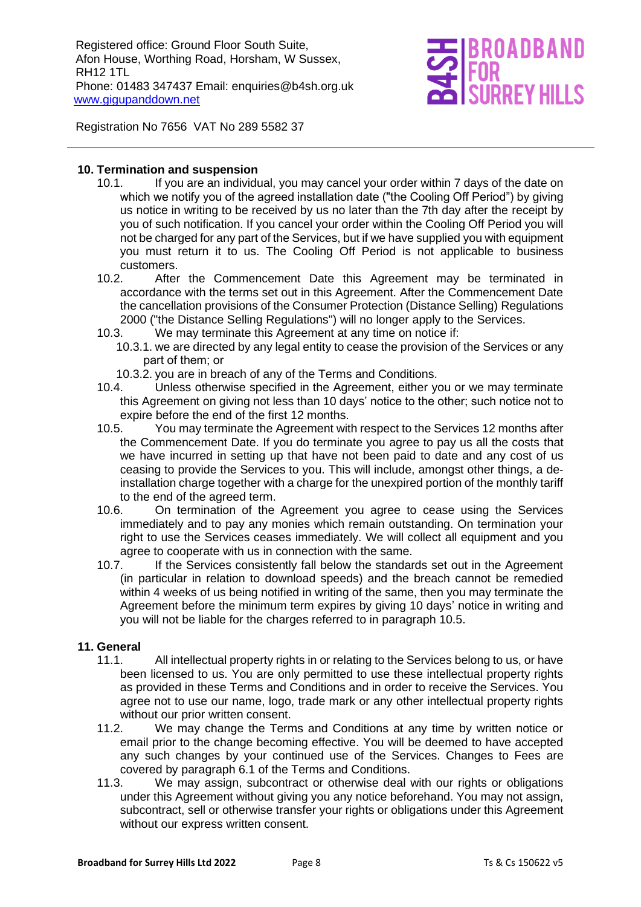# **REY HIL**

Registration No 7656 VAT No 289 5582 37

#### **10. Termination and suspension**

- 10.1. If you are an individual, you may cancel your order within 7 days of the date on which we notify you of the agreed installation date ("the Cooling Off Period") by giving us notice in writing to be received by us no later than the 7th day after the receipt by you of such notification. If you cancel your order within the Cooling Off Period you will not be charged for any part of the Services, but if we have supplied you with equipment you must return it to us. The Cooling Off Period is not applicable to business customers.
- 10.2. After the Commencement Date this Agreement may be terminated in accordance with the terms set out in this Agreement. After the Commencement Date the cancellation provisions of the Consumer Protection (Distance Selling) Regulations 2000 ("the Distance Selling Regulations") will no longer apply to the Services.
- 10.3. We may terminate this Agreement at any time on notice if:
	- 10.3.1. we are directed by any legal entity to cease the provision of the Services or any part of them; or
	- 10.3.2. you are in breach of any of the Terms and Conditions.
- 10.4. Unless otherwise specified in the Agreement, either you or we may terminate this Agreement on giving not less than 10 days' notice to the other; such notice not to expire before the end of the first 12 months.
- 10.5. You may terminate the Agreement with respect to the Services 12 months after the Commencement Date. If you do terminate you agree to pay us all the costs that we have incurred in setting up that have not been paid to date and any cost of us ceasing to provide the Services to you. This will include, amongst other things, a deinstallation charge together with a charge for the unexpired portion of the monthly tariff to the end of the agreed term.
- 10.6. On termination of the Agreement you agree to cease using the Services immediately and to pay any monies which remain outstanding. On termination your right to use the Services ceases immediately. We will collect all equipment and you agree to cooperate with us in connection with the same.
- 10.7. If the Services consistently fall below the standards set out in the Agreement (in particular in relation to download speeds) and the breach cannot be remedied within 4 weeks of us being notified in writing of the same, then you may terminate the Agreement before the minimum term expires by giving 10 days' notice in writing and you will not be liable for the charges referred to in paragraph 10.5.

#### **11. General**

- 11.1. All intellectual property rights in or relating to the Services belong to us, or have been licensed to us. You are only permitted to use these intellectual property rights as provided in these Terms and Conditions and in order to receive the Services. You agree not to use our name, logo, trade mark or any other intellectual property rights without our prior written consent.
- 11.2. We may change the Terms and Conditions at any time by written notice or email prior to the change becoming effective. You will be deemed to have accepted any such changes by your continued use of the Services. Changes to Fees are covered by paragraph 6.1 of the Terms and Conditions.
- 11.3. We may assign, subcontract or otherwise deal with our rights or obligations under this Agreement without giving you any notice beforehand. You may not assign, subcontract, sell or otherwise transfer your rights or obligations under this Agreement without our express written consent.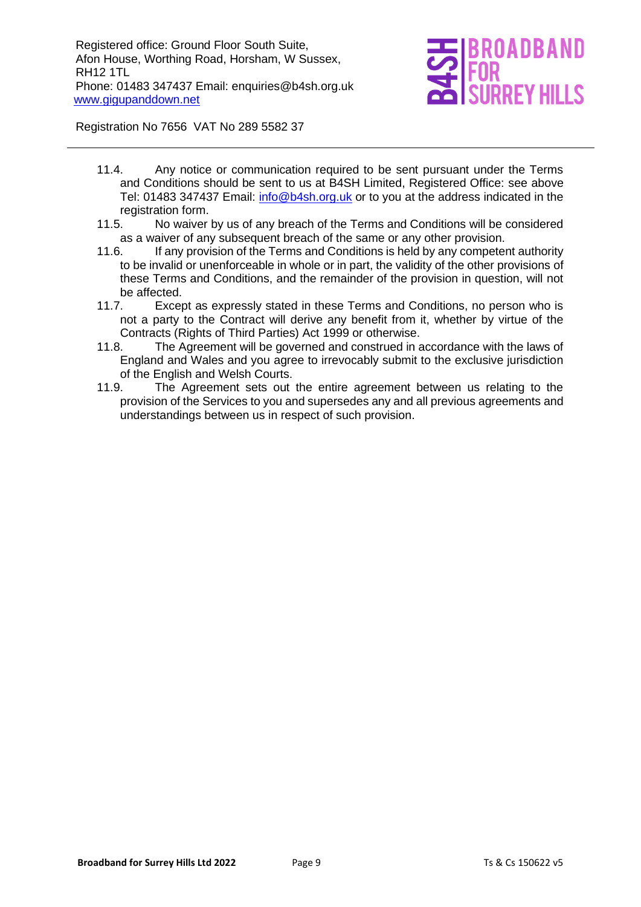

Registration No 7656 VAT No 289 5582 37

- 11.4. Any notice or communication required to be sent pursuant under the Terms and Conditions should be sent to us at B4SH Limited, Registered Office: see above Tel: 01483 347437 Email: [info@b4sh.org.uk](mailto:info@b4sh.org.uk) or to you at the address indicated in the registration form.
- 11.5. No waiver by us of any breach of the Terms and Conditions will be considered as a waiver of any subsequent breach of the same or any other provision.
- 11.6. If any provision of the Terms and Conditions is held by any competent authority to be invalid or unenforceable in whole or in part, the validity of the other provisions of these Terms and Conditions, and the remainder of the provision in question, will not be affected.
- 11.7. Except as expressly stated in these Terms and Conditions, no person who is not a party to the Contract will derive any benefit from it, whether by virtue of the Contracts (Rights of Third Parties) Act 1999 or otherwise.
- 11.8. The Agreement will be governed and construed in accordance with the laws of England and Wales and you agree to irrevocably submit to the exclusive jurisdiction of the English and Welsh Courts.
- 11.9. The Agreement sets out the entire agreement between us relating to the provision of the Services to you and supersedes any and all previous agreements and understandings between us in respect of such provision.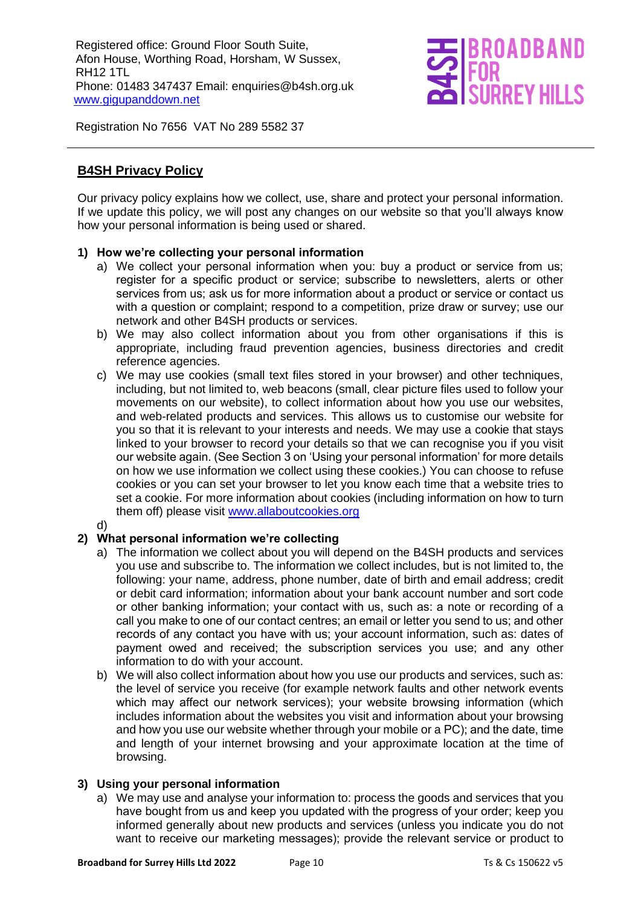

Registration No 7656 VAT No 289 5582 37

#### **B4SH Privacy Policy**

Our privacy policy explains how we collect, use, share and protect your personal information. If we update this policy, we will post any changes on our website so that you'll always know how your personal information is being used or shared.

#### **1) How we're collecting your personal information**

- a) We collect your personal information when you: buy a product or service from us; register for a specific product or service; subscribe to newsletters, alerts or other services from us; ask us for more information about a product or service or contact us with a question or complaint; respond to a competition, prize draw or survey; use our network and other B4SH products or services.
- b) We may also collect information about you from other organisations if this is appropriate, including fraud prevention agencies, business directories and credit reference agencies.
- c) We may use cookies (small text files stored in your browser) and other techniques, including, but not limited to, web beacons (small, clear picture files used to follow your movements on our website), to collect information about how you use our websites, and web-related products and services. This allows us to customise our website for you so that it is relevant to your interests and needs. We may use a cookie that stays linked to your browser to record your details so that we can recognise you if you visit our website again. (See Section 3 on 'Using your personal information' for more details on how we use information we collect using these cookies.) You can choose to refuse cookies or you can set your browser to let you know each time that a website tries to set a cookie. For more information about cookies (including information on how to turn them off) please visit [www.allaboutcookies.org](http://www.allaboutcookies.org/)
- d)

#### **2) What personal information we're collecting**

- a) The information we collect about you will depend on the B4SH products and services you use and subscribe to. The information we collect includes, but is not limited to, the following: your name, address, phone number, date of birth and email address; credit or debit card information; information about your bank account number and sort code or other banking information; your contact with us, such as: a note or recording of a call you make to one of our contact centres; an email or letter you send to us; and other records of any contact you have with us; your account information, such as: dates of payment owed and received; the subscription services you use; and any other information to do with your account.
- b) We will also collect information about how you use our products and services, such as: the level of service you receive (for example network faults and other network events which may affect our network services); your website browsing information (which includes information about the websites you visit and information about your browsing and how you use our website whether through your mobile or a PC); and the date, time and length of your internet browsing and your approximate location at the time of browsing.

#### **3) Using your personal information**

a) We may use and analyse your information to: process the goods and services that you have bought from us and keep you updated with the progress of your order; keep you informed generally about new products and services (unless you indicate you do not want to receive our marketing messages); provide the relevant service or product to